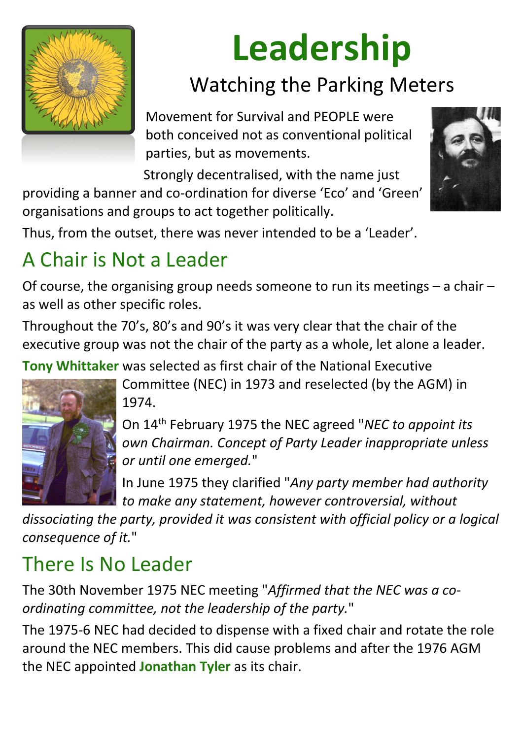

# **Leadership**

### Watching the Parking Meters

Movement for Survival and PEOPLE were both conceived not as conventional political parties, but as movements.

Strongly decentralised, with the name just

providing a banner and co-ordination for diverse 'Eco' and 'Green' organisations and groups to act together politically.



Thus, from the outset, there was never intended to be a 'Leader'.

#### A Chair is Not a Leader

Of course, the organising group needs someone to run its meetings – a chair – as well as other specific roles.

Throughout the 70's, 80's and 90's it was very clear that the chair of the executive group was not the chair of the party as a whole, let alone a leader.

**Tony Whittaker** was selected as first chair of the National Executive



Committee (NEC) in 1973 and reselected (by the AGM) in 1974.

On 14th February 1975 the NEC agreed "*NEC to appoint its own Chairman. Concept of Party Leader inappropriate unless or until one emerged.*"

In June 1975 they clarified "*Any party member had authority to make any statement, however controversial, without* 

*dissociating the party, provided it was consistent with official policy or a logical consequence of it.*"

#### There Is No Leader

The 30th November 1975 NEC meeting "*Affirmed that the NEC was a coordinating committee, not the leadership of the party.*"

The 1975-6 NEC had decided to dispense with a fixed chair and rotate the role around the NEC members. This did cause problems and after the 1976 AGM the NEC appointed **Jonathan Tyler** as its chair.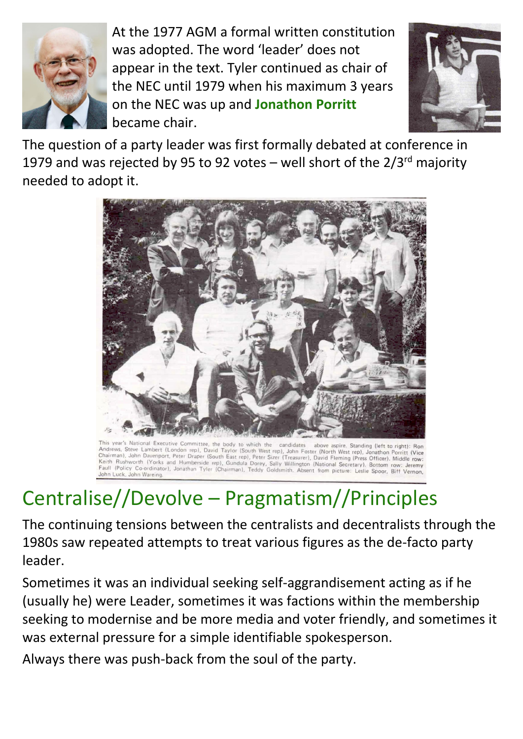

At the 1977 AGM a formal written constitution was adopted. The word 'leader' does not appear in the text. Tyler continued as chair of the NEC until 1979 when his maximum 3 years on the NEC was up and **Jonathon Porritt** became chair.



The question of a party leader was first formally debated at conference in 1979 and was rejected by 95 to 92 votes – well short of the  $2/3^{rd}$  majority needed to adopt it.



This year's National Executive Committee, the body to which the candidates above aspire. Standing (left to right): Ron Andrews, Steve Lambert (London rep), David Taylor (South West rep), John Foster (North West rep), Jonathon Porritt (Vice Chairman), John Davenport, Peter Draper (South Last rep), John Poster (North West rep), Jonathon Porritt (Vice<br>Keith Bushworth (Yorks and Humberride cont East rep), Peter Sizer (Treasurer), David Fleming (Press Officer), M Keith Rushworth (Yorks and Humberside rep), Gundula Dorey, Sally Willington (National Secretary), Bottom row: Jeremy Fault (Policy Co-ordinator), Jonathan Tyler (Chairman), Teddy Goldsmith. Absent from picture: Leslie Spoor, Biff Vernon, John Luck, John Wareing.

## Centralise//Devolve – Pragmatism//Principles

The continuing tensions between the centralists and decentralists through the 1980s saw repeated attempts to treat various figures as the de-facto party

#### leader.

Sometimes it was an individual seeking self-aggrandisement acting as if he (usually he) were Leader, sometimes it was factions within the membership seeking to modernise and be more media and voter friendly, and sometimes it was external pressure for a simple identifiable spokesperson.

Always there was push-back from the soul of the party.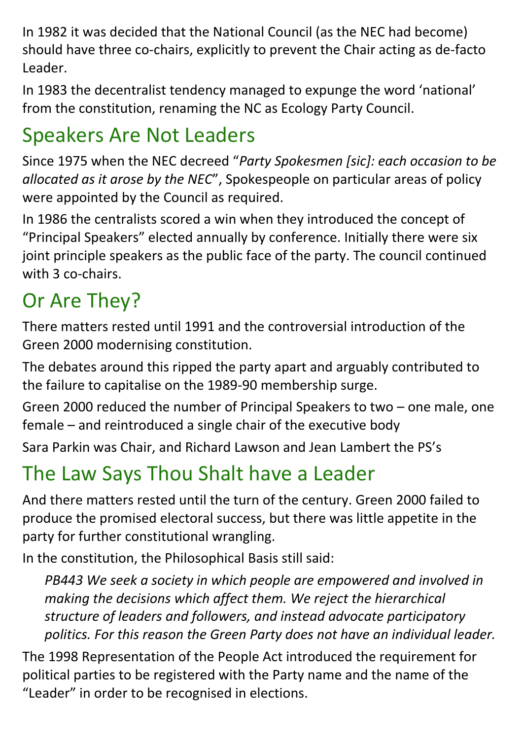In 1982 it was decided that the National Council (as the NEC had become) should have three co-chairs, explicitly to prevent the Chair acting as de-facto Leader.

In 1983 the decentralist tendency managed to expunge the word 'national' from the constitution, renaming the NC as Ecology Party Council.

#### Speakers Are Not Leaders

Since 1975 when the NEC decreed "*Party Spokesmen [sic]: each occasion to be allocated as it arose by the NEC*", Spokespeople on particular areas of policy were appointed by the Council as required.

In 1986 the centralists scored a win when they introduced the concept of "Principal Speakers" elected annually by conference. Initially there were six joint principle speakers as the public face of the party. The council continued with 3 co-chairs.

#### Or Are They?

There matters rested until 1991 and the controversial introduction of the Green 2000 modernising constitution.

The debates around this ripped the party apart and arguably contributed to the failure to capitalise on the 1989-90 membership surge.

Green 2000 reduced the number of Principal Speakers to two – one male, one female – and reintroduced a single chair of the executive body

Sara Parkin was Chair, and Richard Lawson and Jean Lambert the PS's

#### The Law Says Thou Shalt have a Leader

And there matters rested until the turn of the century. Green 2000 failed to produce the promised electoral success, but there was little appetite in the party for further constitutional wrangling.

In the constitution, the Philosophical Basis still said:

*PB443 We seek a society in which people are empowered and involved in making the decisions which affect them. We reject the hierarchical structure of leaders and followers, and instead advocate participatory politics. For this reason the Green Party does not have an individual leader.*

The 1998 Representation of the People Act introduced the requirement for political parties to be registered with the Party name and the name of the "Leader" in order to be recognised in elections.